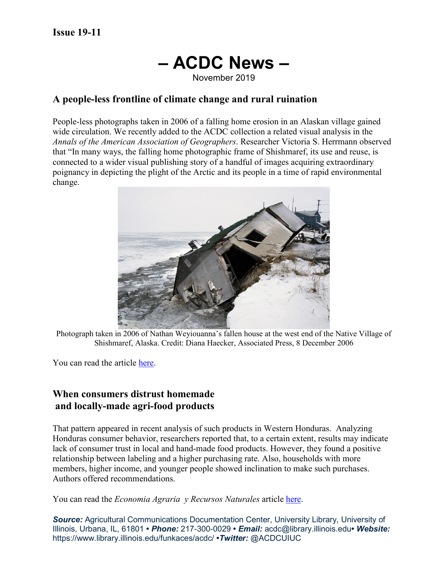# **– ACDC News –**

November 2019

## **A people-less frontline of climate change and rural ruination**

People-less photographs taken in 2006 of a falling home erosion in an Alaskan village gained wide circulation. We recently added to the ACDC collection a related visual analysis in the *Annals of the American Association of Geographers*. Researcher Victoria S. Herrmann observed that "In many ways, the falling home photographic frame of Shishmaref, its use and reuse, is connected to a wider visual publishing story of a handful of images acquiring extraordinary poignancy in depicting the plight of the Arctic and its people in a time of rapid environmental change.



Photograph taken in 2006 of Nathan Weyiouanna's fallen house at the west end of the Native Village of Shishmaref, Alaska. Credit: Diana Haecker, Associated Press, 8 December 2006

You can read the article [here.](https://tandfonline.com/doi/abs/10.1080/24694452.2018.1525272)

## **When consumers distrust homemade and locally-made agri-food products**

That pattern appeared in recent analysis of such products in Western Honduras. Analyzing Honduras consumer behavior, researchers reported that, to a certain extent, results may indicate lack of consumer trust in local and hand-made food products. However, they found a positive relationship between labeling and a higher purchasing rate. Also, households with more members, higher income, and younger people showed inclination to make such purchases. Authors offered recommendations.

You can read the *Economia Agraria y Recursos Naturales* article [here.](https://ageconsearch.umn.edu/record/281232)

**Source:** Agricultural Communications Documentation Center, University Library, University of Illinois, Urbana, IL, 61801 **•** *Phone:* 217-300-0029 **•** *Email:* acdc@library.illinois.edu**•** *Website:* https://www.library.illinois.edu/funkaces/acdc/ **•***Twitter:* @ACDCUIUC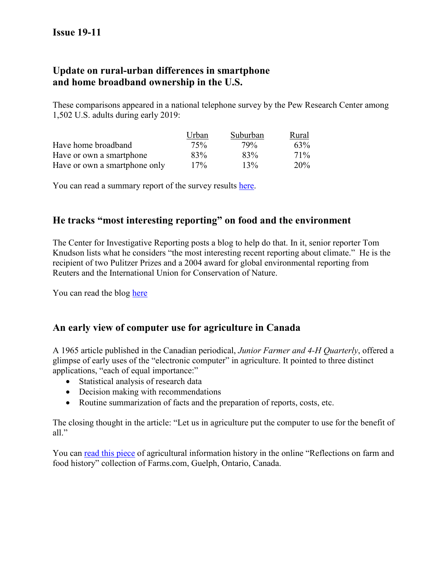# **Update on rural-urban differences in smartphone and home broadband ownership in the U.S.**

These comparisons appeared in a national telephone survey by the Pew Research Center among 1,502 U.S. adults during early 2019:

|                               | Urban | Suburban | Rural           |
|-------------------------------|-------|----------|-----------------|
| Have home broadband           | 75%   | 79%      | 63%             |
| Have or own a smartphone      | 83%   | 83%      | 71\%            |
| Have or own a smartphone only | 17%   | 13%      | 20 <sup>%</sup> |

You can read a summary report of the survey results [here.](https://www.pewinternet.org/2019/06/13/mobile-technology-and-home-broadband-2019/)

# **He tracks "most interesting reporting" on food and the environment**

The Center for Investigative Reporting posts a blog to help do that. In it, senior reporter Tom Knudson lists what he considers "the most interesting recent reporting about climate." He is the recipient of two Pulitzer Prizes and a 2004 award for global environmental reporting from Reuters and the International Union for Conservation of Nature.

You can read the blog [here](https://www.revealnews.org/blog/lifelines-a-guide-to-the-best-reads-on-climate-change-and-food/)

## **An early view of computer use for agriculture in Canada**

A 1965 article published in the Canadian periodical, *Junior Farmer and 4-H Quarterly*, offered a glimpse of early uses of the "electronic computer" in agriculture. It pointed to three distinct applications, "each of equal importance:"

- Statistical analysis of research data
- Decision making with recommendations
- Routine summarization of facts and the preparation of reports, costs, etc.

The closing thought in the article: "Let us in agriculture put the computer to use for the benefit of all."

You can [read this piece](http://www.farms.com/reflections-on-farm-and-food-history/historical-articles-archive/the-application-of-computers-to-agriculture) of agricultural information history in the online "Reflections on farm and food history" collection of Farms.com, Guelph, Ontario, Canada.